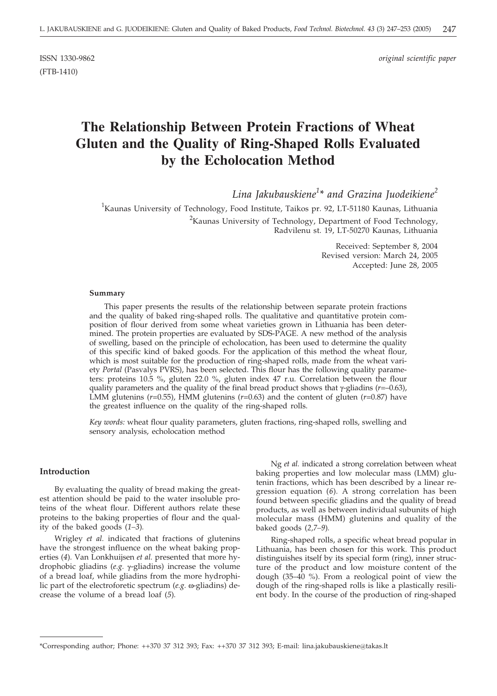(FTB-1410)

ISSN 1330-9862 *original scientific paper*

# **The Relationship Between Protein Fractions of Wheat Gluten and the Quality of Ring-Shaped Rolls Evaluated by the Echolocation Method**

*Lina Jakubauskiene<sup>1</sup> \* and Grazina Juodeikiene<sup>2</sup>*

<sup>1</sup>Kaunas University of Technology, Food Institute, Taikos pr. 92, LT-51180 Kaunas, Lithuania <sup>2</sup>Kaunas University of Technology, Department of Food Technology, Radvilenu st. 19, LT-50270 Kaunas, Lithuania

> Received: September 8, 2004 Revised version: March 24, 2005 Accepted: June 28, 2005

#### **Summary**

This paper presents the results of the relationship between separate protein fractions and the quality of baked ring-shaped rolls. The qualitative and quantitative protein composition of flour derived from some wheat varieties grown in Lithuania has been determined. The protein properties are evaluated by SDS-PAGE. A new method of the analysis of swelling, based on the principle of echolocation, has been used to determine the quality of this specific kind of baked goods. For the application of this method the wheat flour, which is most suitable for the production of ring-shaped rolls, made from the wheat variety *Portal* (Pasvalys PVRS), has been selected. This flour has the following quality parameters: proteins 10.5 %, gluten 22.0 %, gluten index 47 r.u. Correlation between the flour quality parameters and the quality of the final bread product shows that  $\gamma$ -gliadins ( $r=-0.63$ ), LMM glutenins ( $r=0.55$ ), HMM glutenins ( $r=0.63$ ) and the content of gluten ( $r=0.87$ ) have the greatest influence on the quality of the ring-shaped rolls.

*Key words:* wheat flour quality parameters, gluten fractions, ring-shaped rolls, swelling and sensory analysis, echolocation method

#### **Introduction**

By evaluating the quality of bread making the greatest attention should be paid to the water insoluble proteins of the wheat flour. Different authors relate these proteins to the baking properties of flour and the quality of the baked goods (*1–3*)*.*

Wrigley *et al.* indicated that fractions of glutenins have the strongest influence on the wheat baking properties (*4*)*.* Van Lonkhuijsen *et al.* presented that more hydrophobic gliadins ( $e.g.$   $\gamma$ -gliadins) increase the volume of a bread loaf, while gliadins from the more hydrophilic part of the electroforetic spectrum (*e.g.*  $\omega$ -gliadins) decrease the volume of a bread loaf (*5*)*.*

Ng *et al.* indicated a strong correlation between wheat baking properties and low molecular mass (LMM) glutenin fractions, which has been described by a linear regression equation (*6*)*.* A strong correlation has been found between specific gliadins and the quality of bread products, as well as between individual subunits of high molecular mass (HMM) glutenins and quality of the baked goods (*2,7–9*)*.*

Ring-shaped rolls, a specific wheat bread popular in Lithuania, has been chosen for this work. This product distinguishes itself by its special form (ring), inner structure of the product and low moisture content of the dough (35–40 %). From a reological point of view the dough of the ring-shaped rolls is like a plastically resilient body. In the course of the production of ring-shaped

<sup>\*</sup>Corresponding author; Phone: ++370 37 312 393; Fax: ++370 37 312 393; E-mail: lina.jakubauskiene*@*takas.lt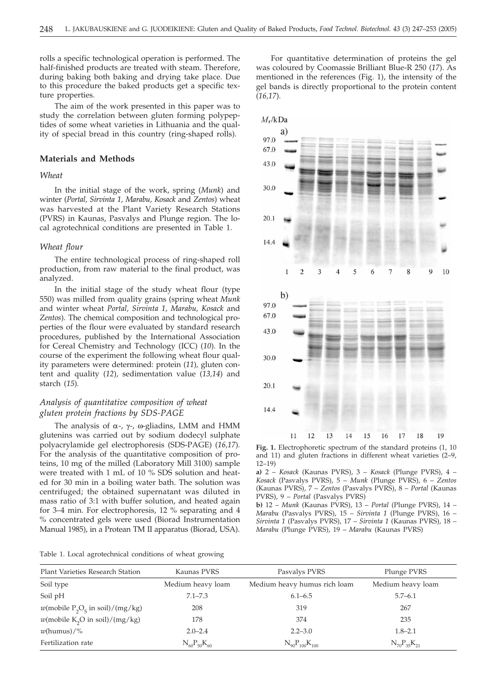rolls a specific technological operation is performed. The half-finished products are treated with steam. Therefore, during baking both baking and drying take place. Due to this procedure the baked products get a specific texture properties.

The aim of the work presented in this paper was to study the correlation between gluten forming polypeptides of some wheat varieties in Lithuania and the quality of special bread in this country (ring-shaped rolls).

#### **Materials and Methods**

## *Wheat*

In the initial stage of the work, spring (*Munk*) and winter (*Portal, Sirvinta 1, Marabu, Kosack* and *Zentos*) wheat was harvested at the Plant Variety Research Stations (PVRS) in Kaunas, Pasvalys and Plunge region. The local agrotechnical conditions are presented in Table 1.

#### *Wheat flour*

The entire technological process of ring-shaped roll production, from raw material to the final product, was analyzed.

In the initial stage of the study wheat flour (type 550) was milled from quality grains (spring wheat *Munk* and winter wheat *Portal, Sirvinta 1, Marabu, Kosack* and *Zentos*). The chemical composition and technological properties of the flour were evaluated by standard research procedures, published by the International Association for Cereal Chemistry and Technology (ICC) (*10*)*.* In the course of the experiment the following wheat flour quality parameters were determined: protein (*11*)*,* gluten content and quality (*12*)*,* sedimentation value (*13,14*) and starch (*15*)*.*

# *Analysis of quantitative composition of wheat gluten protein fractions by SDS-PAGE*

The analysis of  $\alpha$ -,  $\gamma$ -,  $\omega$ -gliadins, LMM and HMM glutenins was carried out by sodium dodecyl sulphate polyacrylamide gel electrophoresis (SDS-PAGE) (*16,17*)*.* For the analysis of the quantitative composition of proteins, 10 mg of the milled (Laboratory Mill 3100) sample were treated with 1 mL of 10 % SDS solution and heated for 30 min in a boiling water bath. The solution was centrifuged; the obtained supernatant was diluted in mass ratio of 3:1 with buffer solution, and heated again for 3–4 min. For electrophoresis, 12 % separating and 4 % concentrated gels were used (Biorad Instrumentation Manual 1985), in a Protean TM II apparatus (Biorad, USA).

Table 1. Local agrotechnical conditions of wheat growing

For quantitative determination of proteins the gel was coloured by Coomassie Brilliant Blue-R 250 (*17*). As mentioned in the references (Fig. 1), the intensity of the gel bands is directly proportional to the protein content (*16,17*)*.*



**Fig. 1.** Electrophoretic spectrum of the standard proteins (1, 10 and 11) and gluten fractions in different wheat varieties (2–9, 12–19)

**a)** 2 – *Kosack* (Kaunas PVRS), 3 – *Kosack* (Plunge PVRS), 4 – *Kosack* (Pasvalys PVRS), 5 – *Munk* (Plunge PVRS), 6 – *Zentos* (Kaunas PVRS), 7 – *Zentos* (Pasvalys PVRS), 8 – *Portal* (Kaunas PVRS), 9 – *Portal* (Pasvalys PVRS)

**b)** 12 – *Munk* (Kaunas PVRS), 13 – *Portal* (Plunge PVRS), 14 – *Marabu* (Pasvalys PVRS), 15 – *Sirvinta 1* (Plunge PVRS), 16 – *Sirvinta 1* (Pasvalys PVRS), 17 – *Sirvinta 1* (Kaunas PVRS), 18 – *Marabu* (Plunge PVRS), 19 – *Marabu* (Kaunas PVRS)

| Plant Varieties Research Station                           | Kaunas PVRS          | Pasvalys PVRS                | Plunge PVRS          |
|------------------------------------------------------------|----------------------|------------------------------|----------------------|
| Soil type                                                  | Medium heavy loam    | Medium heavy humus rich loam | Medium heavy loam    |
| Soil pH                                                    | $7.1 - 7.3$          | $6.1 - 6.5$                  | $5.7 - 6.1$          |
| $w$ (mobile P <sub>2</sub> O <sub>5</sub> in soil)/(mg/kg) | 208                  | 319                          | 267                  |
| $w$ (mobile K <sub>2</sub> O in soil)/(mg/kg)              | 178                  | 374                          | 235                  |
| $w$ (humus)/%                                              | $2.0 - 2.4$          | $2.2 - 3.0$                  | $1.8 - 2.1$          |
| Fertilization rate                                         | $N_{60}P_{50}K_{60}$ | $N_{90}P_{100}K_{100}$       | $N_{70}P_{35}K_{21}$ |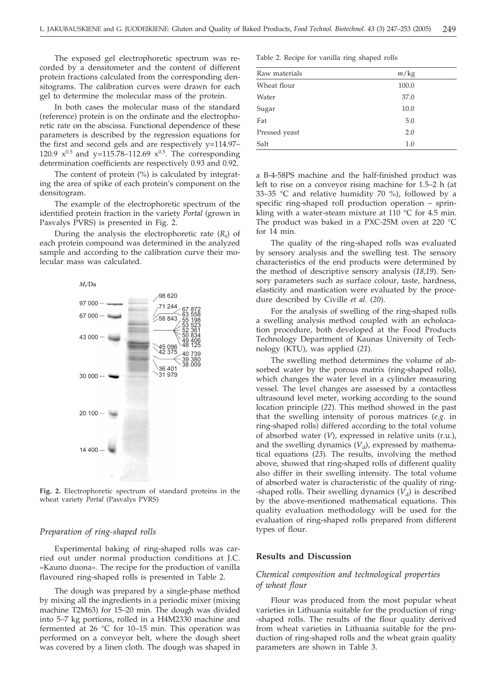The exposed gel electrophoretic spectrum was recorded by a densitometer and the content of different protein fractions calculated from the corresponding densitograms. The calibration curves were drawn for each gel to determine the molecular mass of the protein.

In both cases the molecular mass of the standard (reference) protein is on the ordinate and the electrophoretic rate on the abscissa. Functional dependence of these parameters is described by the regression equations for the first and second gels and are respectively y=114.97– 120.9  $x^{0.5}$  and y=115.78–112.69  $x^{0.5}$ . The corresponding determination coefficients are respectively 0.93 and 0.92.

The content of protein (%) is calculated by integrating the area of spike of each protein's component on the densitogram.

The example of the electrophoretic spectrum of the identified protein fraction in the variety *Portal* (grown in Pasvalys PVRS) is presented in Fig. 2.

During the analysis the electrophoretic rate  $(R_f)$  of each protein compound was determined in the analyzed sample and according to the calibration curve their molecular mass was calculated.



**Fig. 2.** Electrophoretic spectrum of standard proteins in the wheat variety *Portal* (Pasvalys PVRS)

### *Preparation of ring-shaped rolls*

Experimental baking of ring-shaped rolls was carried out under normal production conditions at J.C. »Kauno duona«. The recipe for the production of vanilla flavoured ring-shaped rolls is presented in Table 2.

The dough was prepared by a single-phase method by mixing all the ingredients in a periodic mixer (mixing machine T2M63) for 15–20 min. The dough was divided into 5–7 kg portions, rolled in a H4M2330 machine and fermented at 26 °C for 10–15 min. This operation was performed on a conveyor belt, where the dough sheet was covered by a linen cloth. The dough was shaped in

Table 2. Recipe for vanilla ring shaped rolls

| Raw materials | m/kg  |  |
|---------------|-------|--|
| Wheat flour   | 100.0 |  |
| Water         | 37.0  |  |
| Sugar         | 10.0  |  |
| Fat           | 5.0   |  |
| Pressed yeast | 2.0   |  |
| Salt          | 1.0   |  |

a B-4-58PS machine and the half-finished product was left to rise on a conveyor rising machine for 1.5–2 h (at 33–35 °C and relative humidity 70 %), followed by a specific ring-shaped roll production operation – sprinkling with a water-steam mixture at 110 °C for 4.5 min. The product was baked in a PXC-25M oven at 220 °C for 14 min.

The quality of the ring-shaped rolls was evaluated by sensory analysis and the swelling test. The sensory characteristics of the end products were determined by the method of descriptive sensory analysis (*18,19*)*.* Sensory parameters such as surface colour, taste, hardness, elasticity and mastication were evaluated by the procedure described by Civille *et al*. (*20*)*.*

For the analysis of swelling of the ring-shaped rolls a swelling analysis method coupled with an echolocation procedure, both developed at the Food Products Technology Department of Kaunas University of Technology (KTU), was applied (*21*)*.*

The swelling method determines the volume of absorbed water by the porous matrix (ring-shaped rolls), which changes the water level in a cylinder measuring vessel. The level changes are assessed by a contactless ultrasound level meter, working according to the sound location principle (*22*)*.* This method showed in the past that the swelling intensity of porous matrices (*e.g.* in ring-shaped rolls) differed according to the total volume of absorbed water (*V*), expressed in relative units (r.u.), and the swelling dynamics  $(V_d)$ , expressed by mathematical equations (*23*)*.* The results, involving the method above, showed that ring-shaped rolls of different quality also differ in their swelling intensity. The total volume of absorbed water is characteristic of the quality of ring- -shaped rolls. Their swelling dynamics  $(V_d)$  is described by the above-mentioned mathematical equations. This quality evaluation methodology will be used for the evaluation of ring-shaped rolls prepared from different types of flour.

#### **Results and Discussion**

# *Chemical composition and technological properties of wheat flour*

Flour was produced from the most popular wheat varieties in Lithuania suitable for the production of ring- -shaped rolls. The results of the flour quality derived from wheat varieties in Lithuania suitable for the production of ring-shaped rolls and the wheat grain quality parameters are shown in Table 3.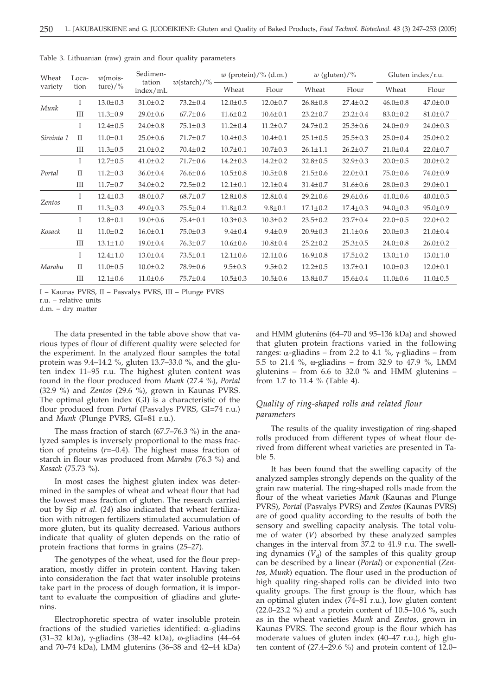| Wheat<br>Loca- |              | $w$ (mois-     | Sedimen-           |                       | $w$ (protein)/% (d.m.) |                |                | $w$ (gluten)/% | Gluten index/r.u. |                |  |
|----------------|--------------|----------------|--------------------|-----------------------|------------------------|----------------|----------------|----------------|-------------------|----------------|--|
| variety        | tion         | ture $)/\%$    | tation<br>index/mL | $w(\text{starch})/\%$ | Wheat                  | Flour          | Wheat          | Flour          | Wheat             | Flour          |  |
|                | L            | $13.0 \pm 0.3$ | $31.0 \pm 0.2$     | $73.2 \pm 0.4$        | $12.0 \pm 0.5$         | $12.0 \pm 0.7$ | $26.8 \pm 0.8$ | $27.4 \pm 0.2$ | $46.0 \pm 0.8$    | $47.0 \pm 0.0$ |  |
| Munk           | III          | $11.3 \pm 0.9$ | $29.0 \pm 0.6$     | $67.7 \pm 0.6$        | $11.6 \pm 0.2$         | $10.6 \pm 0.1$ | $23.2 \pm 0.7$ | $23.2 \pm 0.4$ | $83.0 \pm 0.2$    | $81.0 \pm 0.7$ |  |
|                | L            | $12.4 \pm 0.5$ | $24.0 \pm 0.8$     | $75.1 \pm 0.3$        | $11.2 \pm 0.4$         | $11.2 \pm 0.7$ | $24.7 \pm 0.2$ | $25.3 \pm 0.6$ | $24.0 \pm 0.9$    | $24.0 \pm 0.3$ |  |
| Sirvinta 1     | $\mathbf{I}$ | $11.0 \pm 0.1$ | $25.0 \pm 0.6$     | $71.7 \pm 0.7$        | $10.4 \pm 0.3$         | $10.4 \pm 0.1$ | $25.1 \pm 0.5$ | $25.5 \pm 0.3$ | $25.0 \pm 0.4$    | $25.0 \pm 0.2$ |  |
|                | Ш            | $11.3 \pm 0.5$ | $21.0 \pm 0.2$     | $70.4 \pm 0.2$        | $10.7 \pm 0.1$         | $10.7 \pm 0.3$ | $26.1 \pm 1.1$ | $26.2 \pm 0.7$ | $21.0 \pm 0.4$    | $22.0 \pm 0.7$ |  |
|                | L            | $12.7 \pm 0.5$ | $41.0 \pm 0.2$     | $71.7 \pm 0.6$        | $14.2 \pm 0.3$         | $14.2 \pm 0.2$ | $32.8 \pm 0.5$ | $32.9 \pm 0.3$ | $20.0 \pm 0.5$    | $20.0 \pm 0.2$ |  |
| Portal         | $\mathbf{I}$ | $11.2 \pm 0.3$ | $36.0 \pm 0.4$     | $76.6 \pm 0.6$        | $10.5 \pm 0.8$         | $10.5 \pm 0.8$ | $21.5 \pm 0.6$ | $22.0 \pm 0.1$ | $75.0 \pm 0.6$    | $74.0 \pm 0.9$ |  |
|                | Ш            | $11.7 \pm 0.7$ | $34.0 \pm 0.2$     | $72.5 \pm 0.2$        | $12.1 \pm 0.1$         | $12.1 \pm 0.4$ | $31.4 \pm 0.7$ | $31.6 \pm 0.6$ | $28.0 \pm 0.3$    | $29.0 \pm 0.1$ |  |
|                | T            | $12.4 \pm 0.3$ | $48.0 \pm 0.7$     | $68.7 \pm 0.7$        | $12.8 \pm 0.8$         | $12.8 \pm 0.4$ | $29.2 \pm 0.6$ | $29.6 \pm 0.6$ | $41.0 \pm 0.6$    | $40.0 \pm 0.3$ |  |
| Zentos         | $\mathbf{I}$ | $11.3 \pm 0.3$ | $49.0 \pm 0.3$     | $75.5 \pm 0.4$        | $11.8 \pm 0.2$         | $9.8 \pm 0.1$  | $17.1 \pm 0.2$ | $17.4 \pm 0.3$ | $94.0 \pm 0.3$    | $95.0 \pm 0.9$ |  |
|                | L            | $12.8 \pm 0.1$ | $19.0 \pm 0.6$     | $75.4 \pm 0.1$        | $10.3 \pm 0.3$         | $10.3 \pm 0.2$ | $23.5 \pm 0.2$ | $23.7 \pm 0.4$ | $22.0 \pm 0.5$    | $22.0 \pm 0.2$ |  |
| Kosack         | $\mathbf{I}$ | $11.0 \pm 0.2$ | $16.0 \pm 0.1$     | $75.0 \pm 0.3$        | $9.4 \pm 0.4$          | $9.4 \pm 0.9$  | $20.9 \pm 0.3$ | $21.1 \pm 0.6$ | $20.0 \pm 0.3$    | $21.0 \pm 0.4$ |  |
|                | Ш            | $13.1 \pm 1.0$ | $19.0 \pm 0.4$     | $76.3 \pm 0.7$        | $10.6 \pm 0.6$         | $10.8 \pm 0.4$ | $25.2 \pm 0.2$ | $25.3 \pm 0.5$ | $24.0 \pm 0.8$    | $26.0 \pm 0.2$ |  |
|                | L            | $12.4 \pm 1.0$ | $13.0 \pm 0.4$     | $73.5 \pm 0.1$        | $12.1 \pm 0.6$         | $12.1 \pm 0.6$ | $16.9 \pm 0.8$ | $17.5 \pm 0.2$ | $13.0 \pm 1.0$    | $13.0 \pm 1.0$ |  |
| Marabu         | $\mathbf{H}$ | $11.0 \pm 0.5$ | $10.0 \pm 0.2$     | 78.9±0.6              | $9.5 \pm 0.3$          | $9.5 \pm 0.2$  | $12.2 \pm 0.5$ | $13.7 \pm 0.1$ | $10.0 \pm 0.3$    | $12.0 \pm 0.1$ |  |
|                | Ш            | $12.1 \pm 0.6$ | $11.0 \pm 0.6$     | $75.7 \pm 0.4$        | $10.5 \pm 0.3$         | $10.5 \pm 0.6$ | $13.8 \pm 0.7$ | $15.6 \pm 0.4$ | $11.0 \pm 0.6$    | $11.0 \pm 0.5$ |  |
|                |              |                |                    |                       |                        |                |                |                |                   |                |  |

Table 3. Lithuanian (raw) grain and flour quality parameters

I – Kaunas PVRS, II – Pasvalys PVRS, III – Plunge PVRS

r.u. – relative units

d.m. – dry matter

The data presented in the table above show that various types of flour of different quality were selected for the experiment. In the analyzed flour samples the total protein was 9.4–14.2 %, gluten 13.7–33.0 %, and the gluten index 11–95 r.u. The highest gluten content was found in the flour produced from *Munk* (27.4 %), *Portal* (32.9 %) and *Zentos* (29.6 %), grown in Kaunas PVRS. The optimal gluten index (GI) is a characteristic of the flour produced from *Portal* (Pasvalys PVRS, GI=74 r.u.) and *Munk* (Plunge PVRS, GI=81 r.u.).

The mass fraction of starch (67.7–76.3 %) in the analyzed samples is inversely proportional to the mass fraction of proteins (*r=*–0.4). The highest mass fraction of starch in flour was produced from *Marabu* (76.3 %) and *Kosack* (75.73 %).

In most cases the highest gluten index was determined in the samples of wheat and wheat flour that had the lowest mass fraction of gluten. The research carried out by Sip *et al.* (*24*) also indicated that wheat fertilization with nitrogen fertilizers stimulated accumulation of more gluten, but its quality decreased*.* Various authors indicate that quality of gluten depends on the ratio of protein fractions that forms in grains (*25–27*)*.*

The genotypes of the wheat, used for the flour preparation, mostly differ in protein content. Having taken into consideration the fact that water insoluble proteins take part in the process of dough formation, it is important to evaluate the composition of gliadins and glutenins.

Electrophoretic spectra of water insoluble protein fractions of the studied varieties identified:  $\alpha$ -gliadins (31–32 kDa),  $\gamma$ -gliadins (38–42 kDa),  $\omega$ -gliadins (44–64 and 70–74 kDa), LMM glutenins (36–38 and 42–44 kDa) and HMM glutenins (64–70 and 95–136 kDa) and showed that gluten protein fractions varied in the following ranges:  $\alpha$ -gliadins – from 2.2 to 4.1 %,  $\gamma$ -gliadins – from 5.5 to 21.4 %, w-gliadins – from 32.9 to 47.9 %, LMM glutenins – from 6.6 to 32.0 % and HMM glutenins – from 1.7 to 11.4 % (Table 4).

# *Quality of ring-shaped rolls and related flour parameters*

The results of the quality investigation of ring-shaped rolls produced from different types of wheat flour derived from different wheat varieties are presented in Table 5.

It has been found that the swelling capacity of the analyzed samples strongly depends on the quality of the grain raw material. The ring-shaped rolls made from the flour of the wheat varieties *Munk* (Kaunas and Plunge PVRS), *Portal* (Pasvalys PVRS) and *Zentos* (Kaunas PVRS) are of good quality according to the results of both the sensory and swelling capacity analysis. The total volume of water (*V*) absorbed by these analyzed samples changes in the interval from 37.2 to 41.9 r.u. The swelling dynamics  $(V_d)$  of the samples of this quality group can be described by a linear (*Portal*) or exponential (*Zentos, Munk*) equation. The flour used in the production of high quality ring-shaped rolls can be divided into two quality groups. The first group is the flour, which has an optimal gluten index (74–81 r.u.), low gluten content (22.0–23.2 %) and a protein content of 10.5–10.6 %, such as in the wheat varieties *Munk* and *Zentos*, grown in Kaunas PVRS. The second group is the flour which has moderate values of gluten index (40–47 r.u.), high gluten content of (27.4–29.6 %) and protein content of 12.0–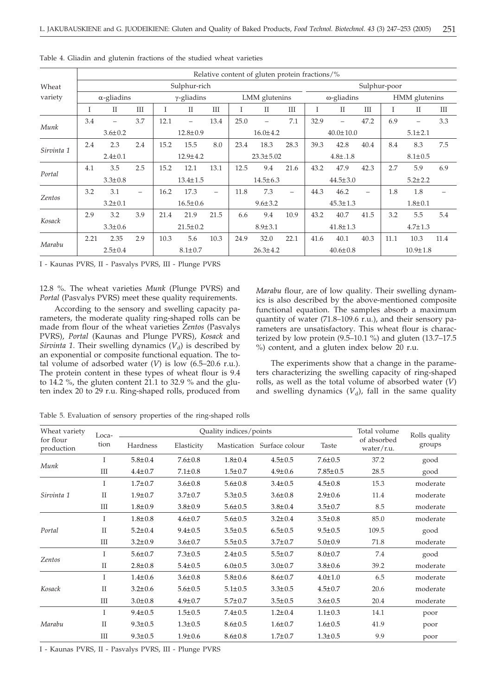|            | Relative content of gluten protein fractions/% |               |                          |                    |               |                          |                |                |                          |                    |                          |      |               |                |      |  |
|------------|------------------------------------------------|---------------|--------------------------|--------------------|---------------|--------------------------|----------------|----------------|--------------------------|--------------------|--------------------------|------|---------------|----------------|------|--|
| Wheat      |                                                | Sulphur-rich  |                          |                    |               |                          |                |                | Sulphur-poor             |                    |                          |      |               |                |      |  |
| variety    | $\alpha$ -gliadins                             |               |                          | $\gamma$ -gliadins |               |                          |                | LMM glutenins  |                          | $\omega$ -gliadins |                          |      | HMM glutenins |                |      |  |
|            | L                                              | $\mathbf{I}$  | III                      | T                  | $\mathbf{I}$  | III                      | T              | $\mathbf{I}$   | III                      | T                  | $\mathbf{I}$             | III  | T             | $\mathbf{I}$   | III  |  |
|            | 3.4                                            |               | 3.7                      | 12.1               |               | 13.4                     | 25.0           |                | 7.1                      | 32.9               | $\overline{\phantom{0}}$ | 47.2 | 6.9           |                | 3.3  |  |
|            | Munk<br>$3.6 \pm 0.2$                          |               |                          | $12.8 \pm 0.9$     |               |                          |                | $16.0 \pm 4.2$ |                          |                    | $40.0 \pm 10.0$          |      |               | $5.1 \pm 2.1$  |      |  |
|            | 2.4                                            | 2.3           | 2.4                      | 15.2               | 15.5          | 8.0                      | 23.4           | 18.3           | 28.3                     | 39.3               | 42.8                     | 40.4 | 8.4           | 8.3            | 7.5  |  |
| Sirvinta 1 | $2.4 \pm 0.1$                                  |               |                          | $12.9 \pm 4.2$     |               | $23.3 \pm 5.02$          |                | $4.8 \pm .1.8$ |                          |                    | $8.1 \pm 0.5$            |      |               |                |      |  |
|            | 4.1                                            | 3.5           | 2.5                      | 15.2               | 12.1          | 13.1                     | 12.5           | 9.4            | 21.6                     | 43.2               | 47.9                     | 42.3 | 2.7           | 5.9            | 6.9  |  |
| Portal     | $3.3 \pm 0.8$                                  |               |                          | $13.4 \pm 1.5$     |               | $14.5 \pm 6.3$           |                | $44.5 \pm 3.0$ |                          |                    | $5.2 \pm 2.2$            |      |               |                |      |  |
|            | 3.2                                            | 3.1           | $\overline{\phantom{0}}$ | 16.2               | 17.3          | $\overline{\phantom{0}}$ | 11.8           | 7.3            | $\overline{\phantom{0}}$ | 44.3               | 46.2                     |      | 1.8           | 1.8            |      |  |
| Zentos     | $3.2 \pm 0.1$                                  |               | $16.5 \pm 0.6$           |                    | $9.6 \pm 3.2$ |                          | $45.3 \pm 1.3$ |                |                          | $1.8 \pm 0.1$      |                          |      |               |                |      |  |
|            | 2.9                                            | 3.2           | 3.9                      | 21.4               | 21.9          | 21.5                     | 6.6            | 9.4            | 10.9                     | 43.2               | 40.7                     | 41.5 | 3.2           | 5.5            | 5.4  |  |
| Kosack     | $3.3 \pm 0.6$                                  |               |                          | $21.5 \pm 0.2$     |               | $8.9 \pm 3.1$            |                | $41.8 \pm 1.3$ |                          |                    | $4.7 \pm 1.3$            |      |               |                |      |  |
|            | 2.21                                           | 2.35          | 2.9                      | 10.3               | 5.6           | 10.3                     | 24.9           | 32.0           | 22.1                     | 41.6               | 40.1                     | 40.3 | 11.1          | 10.3           | 11.4 |  |
| Marabu     |                                                | $2.5 \pm 0.4$ |                          |                    | $8.1 \pm 0.7$ |                          |                | $26.3 \pm 4.2$ |                          |                    | $40.6 \pm 0.8$           |      |               | $10.9 \pm 1.8$ |      |  |

Table 4. Gliadin and glutenin fractions of the studied wheat varieties

I - Kaunas PVRS, II - Pasvalys PVRS, III - Plunge PVRS

12.8 %. The wheat varieties *Munk* (Plunge PVRS) and *Portal* (Pasvalys PVRS) meet these quality requirements.

According to the sensory and swelling capacity parameters, the moderate quality ring-shaped rolls can be made from flour of the wheat varieties *Zentos* (Pasvalys PVRS), *Portal* (Kaunas and Plunge PVRS), *Kosack* and *Sirvinta 1*. Their swelling dynamics  $(V_d)$  is described by an exponential or composite functional equation. The total volume of adsorbed water (*V*) is low (6.5–20.6 r.u.). The protein content in these types of wheat flour is 9.4 to 14.2 %, the gluten content 21.1 to 32.9 % and the gluten index 20 to 29 r.u. Ring-shaped rolls, produced from *Marabu* flour, are of low quality. Their swelling dynamics is also described by the above-mentioned composite functional equation. The samples absorb a maximum quantity of water (71.8–109.6 r.u.), and their sensory parameters are unsatisfactory. This wheat flour is characterized by low protein  $(9.5-10.1\%)$  and gluten  $(13.7-17.5$ %) content, and a gluten index below 20 r.u.

The experiments show that a change in the parameters characterizing the swelling capacity of ring-shaped rolls, as well as the total volume of absorbed water (*V*) and swelling dynamics  $(V_d)$ , fall in the same quality

Table 5. Evaluation of sensory properties of the ring-shaped rolls

| Wheat variety           | Loca-              |               | Quality indices/points | Total volume  | Rolls quality              |                |                           |          |
|-------------------------|--------------------|---------------|------------------------|---------------|----------------------------|----------------|---------------------------|----------|
| for flour<br>production | tion               | Hardness      | Elasticity             |               | Mastication Surface colour | Taste          | of absorbed<br>water/r.u. | groups   |
|                         | T                  | $5.8 \pm 0.4$ | $7.6 \pm 0.8$          | $1.8 + 0.4$   | $4.5 \pm 0.5$              | $7.6 \pm 0.5$  | 37.2                      | good     |
| Munk                    | III                | $4.4 \pm 0.7$ | $7.1 \pm 0.8$          | $1.5 \pm 0.7$ | $4.9 \pm 0.6$              | $7.85 \pm 0.5$ | 28.5                      | good     |
|                         | T                  | $1.7 + 0.7$   | $3.6 \pm 0.8$          | $5.6 \pm 0.8$ | $3.4 \pm 0.5$              | $4.5 \pm 0.8$  | 15.3                      | moderate |
| Sirvinta 1              | $\mathbf{I}$       | $1.9 \pm 0.7$ | $3.7 \pm 0.7$          | $5.3 \pm 0.5$ | $3.6 \pm 0.8$              | $2.9 \pm 0.6$  | 11.4                      | moderate |
|                         | $\mathop{\rm III}$ | $1.8 \pm 0.9$ | $3.8 \pm 0.9$          | $5.6 \pm 0.5$ | $3.8 \pm 0.4$              | $3.5 \pm 0.7$  | 8.5                       | moderate |
|                         | T                  | $1.8 + 0.8$   | $4.6 \pm 0.7$          | $5.6 \pm 0.5$ | $3.2 \pm 0.4$              | $3.5 \pm 0.8$  | 85.0                      | moderate |
| Portal                  | $\mathbf{I}$       | $5.2 \pm 0.4$ | $9.4 \pm 0.5$          | $3.5 \pm 0.5$ | $6.5 \pm 0.5$              | $9.5 \pm 0.5$  | 109.5                     | good     |
|                         | III                | $3.2 \pm 0.9$ | $3.6 \pm 0.7$          | $5.5 \pm 0.5$ | $3.7 \pm 0.7$              | $5.0 \pm 0.9$  | 71.8                      | moderate |
|                         | T                  | $5.6 \pm 0.7$ | $7.3 \pm 0.5$          | $2.4 \pm 0.5$ | $5.5 \pm 0.7$              | $8.0 \pm 0.7$  | 7.4                       | good     |
| Zentos                  | $_{\rm II}$        | $2.8 \pm 0.8$ | $5.4 \pm 0.5$          | $6.0 \pm 0.5$ | $3.0 \pm 0.7$              | $3.8 \pm 0.6$  | 39.2                      | moderate |
|                         | $\mathbf{I}$       | $1.4 \pm 0.6$ | $3.6 \pm 0.8$          | $5.8 + 0.6$   | $8.6{\pm}0.7$              | $4.0 \pm 1.0$  | 6.5                       | moderate |
| Kosack                  | $\mathbf{I}$       | $3.2 \pm 0.6$ | $5.6 \pm 0.5$          | $5.1 \pm 0.5$ | $3.3 \pm 0.5$              | $4.5 \pm 0.7$  | 20.6                      | moderate |
|                         | III                | $3.0 \pm 0.8$ | $4.9 \pm 0.7$          | $5.7 \pm 0.7$ | $3.5 \pm 0.5$              | $3.6 \pm 0.5$  | 20.4                      | moderate |
|                         | T                  | $9.4 \pm 0.5$ | $1.5 \pm 0.5$          | $7.4 \pm 0.5$ | $1.2 \pm 0.4$              | $1.1 \pm 0.3$  | 14.1                      | poor     |
| Marabu                  | $\mathbf{I}$       | $9.3 \pm 0.5$ | $1.3 \pm 0.5$          | $8.6 \pm 0.5$ | $1.6 \pm 0.7$              | $1.6 \pm 0.5$  | 41.9                      | poor     |
|                         | III                | $9.3 \pm 0.5$ | $1.9 \pm 0.6$          | $8.6 \pm 0.8$ | $1.7 \pm 0.7$              | $1.3 \pm 0.5$  | 9.9                       | poor     |

I - Kaunas PVRS, II - Pasvalys PVRS, III - Plunge PVRS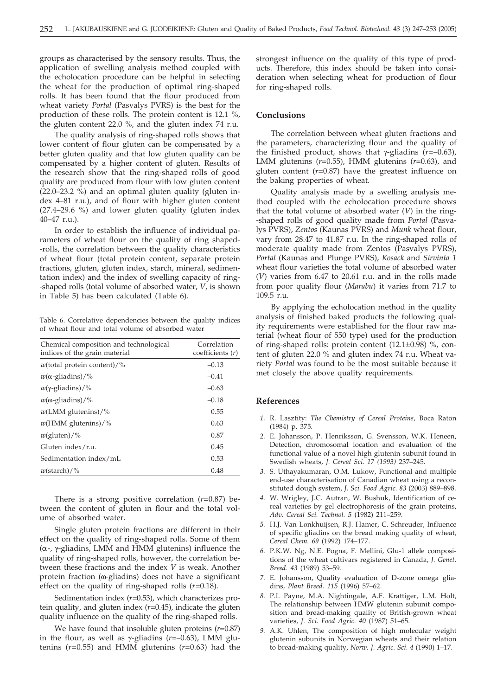groups as characterised by the sensory results. Thus, the application of swelling analysis method coupled with the echolocation procedure can be helpful in selecting the wheat for the production of optimal ring-shaped rolls. It has been found that the flour produced from wheat variety *Portal* (Pasvalys PVRS) is the best for the production of these rolls. The protein content is 12.1 %, the gluten content 22.0 %, and the gluten index 74 r.u.

The quality analysis of ring-shaped rolls shows that lower content of flour gluten can be compensated by a better gluten quality and that low gluten quality can be compensated by a higher content of gluten. Results of the research show that the ring-shaped rolls of good quality are produced from flour with low gluten content (22.0–23.2 %) and an optimal gluten quality (gluten index 4–81 r.u.), and of flour with higher gluten content (27.4–29.6 %) and lower gluten quality (gluten index 40–47 r.u.).

In order to establish the influence of individual parameters of wheat flour on the quality of ring shaped- -rolls, the correlation between the quality characteristics of wheat flour (total protein content, separate protein fractions, gluten, gluten index, starch, mineral, sedimentation index) and the index of swelling capacity of ring- -shaped rolls (total volume of absorbed water, *V*, is shown in Table 5) has been calculated (Table 6).

Table 6. Correlative dependencies between the quality indices of wheat flour and total volume of absorbed water

| Chemical composition and technological<br>indices of the grain material | Correlation<br>coefficients (r) |
|-------------------------------------------------------------------------|---------------------------------|
| $w$ (total protein content)/%                                           | $-0.13$                         |
| $w(\alpha$ -gliadins)/%                                                 | $-0.41$                         |
| $w(\gamma$ -gliadins)/%                                                 | $-0.63$                         |
| $w(\omega$ -gliadins)/%                                                 | $-0.18$                         |
| $w(LMM$ glutenins)/%                                                    | 0.55                            |
| $w$ (HMM glutenins)/%                                                   | 0.63                            |
| $w(\text{gluten})/\%$                                                   | 0.87                            |
| Gluten index/r.u.                                                       | 0.45                            |
| Sedimentation index/mL                                                  | 0.53                            |
| $w(\text{starch})/\%$                                                   | 0.48                            |
|                                                                         |                                 |

There is a strong positive correlation (*r=*0.87) between the content of gluten in flour and the total volume of absorbed water.

Single gluten protein fractions are different in their effect on the quality of ring-shaped rolls. Some of them  $(\alpha$ -,  $\gamma$ -gliadins, LMM and HMM glutenins) influence the quality of ring-shaped rolls, however, the correlation between these fractions and the index *V* is weak. Another protein fraction ( $\omega$ -gliadins) does not have a significant effect on the quality of ring-shaped rolls (*r=*0.18).

Sedimentation index (*r*=0.53), which characterizes protein quality, and gluten index (*r*=0.45), indicate the gluten quality influence on the quality of the ring-shaped rolls.

We have found that insoluble gluten proteins (*r=*0.87) in the flour, as well as  $\gamma$ -gliadins ( $r=-0.63$ ), LMM glutenins (*r*=0.55) and HMM glutenins (*r*=0.63) had the strongest influence on the quality of this type of products. Therefore, this index should be taken into consideration when selecting wheat for production of flour for ring-shaped rolls.

#### **Conclusions**

The correlation between wheat gluten fractions and the parameters, characterizing flour and the quality of the finished product, shows that  $\gamma$ -gliadins ( $r=-0.63$ ), LMM glutenins (*r*=0.55), HMM glutenins (*r*=0.63), and gluten content (*r*=0.87) have the greatest influence on the baking properties of wheat.

Quality analysis made by a swelling analysis method coupled with the echolocation procedure shows that the total volume of absorbed water (*V*) in the ring- -shaped rolls of good quality made from *Portal* (Pasvalys PVRS), *Zentos* (Kaunas PVRS) and *Munk* wheat flour, vary from 28.47 to 41.87 r.u. In the ring-shaped rolls of moderate quality made from Zentos (Pasvalys PVRS), *Portal* (Kaunas and Plunge PVRS), *Kosack* and *Sirvinta 1* wheat flour varieties the total volume of absorbed water (*V*) varies from 6.47 to 20.61 r.u. and in the rolls made from poor quality flour (*Marabu*) it varies from 71.7 to 109.5 r.u.

By applying the echolocation method in the quality analysis of finished baked products the following quality requirements were established for the flour raw material (wheat flour of 550 type) used for the production of ring-shaped rolls: protein content (12.1±0.98) %, content of gluten 22.0 % and gluten index 74 r.u. Wheat variety *Portal* was found to be the most suitable because it met closely the above quality requirements.

#### **References**

- *1.* R. Lasztity: *The Chemistry of Cereal Proteins,* Boca Raton (1984) p. 375.
- *2.* E. Johansson, P. Henriksson, G. Svensson, W.K. Heneen, Detection, chromosomal location and evaluation of the functional value of a novel high glutenin subunit found in Swedish wheats, *J. Cereal Sci. 17 (1993)* 237–245.
- *3.* S. Uthayakumaran, O.M. Lukow, Functional and multiple end-use characterisation of Canadian wheat using a reconstituted dough system, *J. Sci. Food Agric. 83* (2003) 889–898.
- *4.* W. Wrigley, J.C. Autran, W. Bushuk, Identification of cereal varieties by gel electrophoresis of the grain proteins, *Adv. Cereal Sci. Technol. 5* (1982) 211–259.
- *5.* H.J. Van Lonkhuijsen, R.J. Hamer, C. Schreuder, Influence of specific gliadins on the bread making quality of wheat, *Cereal Chem. 69* (1992) 174–177.
- *6.* P.K.W. Ng, N.E. Pogna, F. Mellini, Glu-1 allele compositions of the wheat cultivars registered in Canada, *J. Genet. Breed. 43* (1989) 53–59.
- *7.* E. Johansson, Quality evaluation of D-zone omega gliadins, *Plant Breed. 115* (1996) 57–62.
- *8.* P.I. Payne, M.A. Nightingale, A.F. Krattiger, L.M. Holt, The relationship between HMW glutenin subunit composition and bread-making quality of British-grown wheat varieties, *J. Sci. Food Agric. 40* (1987) 51–65.
- *9.* A.K. Uhlen, The composition of high molecular weight glutenin subunits in Norwegian wheats and their relation to bread-making quality, *Norw. J. Agric. Sci. 4* (1990) 1–17.